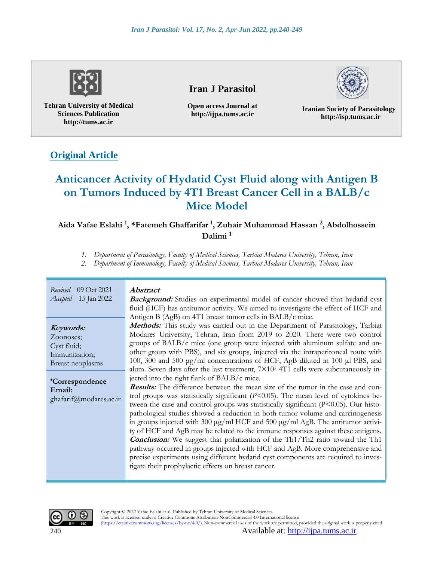

**Tehran University of Medical Sciences Publication http://tums.ac.ir**

# **Iran J Parasitol**

**Open access Journal at http://ijpa.tums.ac.ir**



**Iranian Society of Parasitology http://isp.tums.ac.ir**

# **Original Article**

# **Anticancer Activity of Hydatid Cyst Fluid along with Antigen B on Tumors Induced by 4T1 Breast Cancer Cell in a BALB/c Mice Model**

**Aida Vafae Eslahi <sup>1</sup> , \*Fatemeh Ghaffarifar <sup>1</sup> , Zuhair Muhammad Hassan <sup>2</sup> , Abdolhossein Dalimi <sup>1</sup>**

*1. Department of Parasitology, Faculty of Medical Sciences, Tarbiat Modares University, Tehran, Iran*

*2. Department of Immunology, Faculty of Medical Sciences, Tarbiat Modares University, Tehran, Iran*

| Received 09 Oct 2021<br><i>Accepted</i> 15 Jan 2022                                                                                      | <b>Abstract</b><br><b>Background:</b> Studies on experimental model of cancer showed that hydatid cyst<br>fluid (HCF) has antitumor activity. We aimed to investigate the effect of HCF and<br>Antigen B (AgB) on 4T1 breast tumor cells in BALB/c mice.                                                                                                                                                                                                                                                                                                                                                                                                                                                                                                                                                                                                                                                                                                                                                                                                                                                                                                                                                                                                                                                                                                                                                                        |
|------------------------------------------------------------------------------------------------------------------------------------------|---------------------------------------------------------------------------------------------------------------------------------------------------------------------------------------------------------------------------------------------------------------------------------------------------------------------------------------------------------------------------------------------------------------------------------------------------------------------------------------------------------------------------------------------------------------------------------------------------------------------------------------------------------------------------------------------------------------------------------------------------------------------------------------------------------------------------------------------------------------------------------------------------------------------------------------------------------------------------------------------------------------------------------------------------------------------------------------------------------------------------------------------------------------------------------------------------------------------------------------------------------------------------------------------------------------------------------------------------------------------------------------------------------------------------------|
| Keywords:<br>Zoonoses;<br>Cyst fluid;<br>Immunization;<br>Breast neoplasms<br><i>*Correspondence</i><br>Email:<br>ghafarif@modares.ac.ir | Methods: This study was carried out in the Department of Parasitology, Tarbiat<br>Modares University, Tehran, Iran from 2019 to 2020. There were two control<br>groups of $BALB/c$ mice (one group were injected with aluminum sulfate and an-<br>other group with PBS), and six groups, injected via the intraperitoneal route with<br>100, 300 and 500 µg/ml concentrations of HCF, AgB diluted in 100 µl PBS, and<br>alum. Seven days after the last treatment, 7×10 <sup>5</sup> 4T1 cells were subcutaneously in-<br>jected into the right flank of BALB/c mice.<br><b>Results:</b> The difference between the mean size of the tumor in the case and con-<br>trol groups was statistically significant ( $P<0.05$ ). The mean level of cytokines be-<br>tween the case and control groups was statistically significant (P<0.05). Our histo-<br>pathological studies showed a reduction in both tumor volume and carcinogenesis<br>in groups injected with 300 µg/ml HCF and 500 µg/ml AgB. The antitumor activi-<br>ty of HCF and AgB may be related to the immune responses against these antigens.<br><b>Conclusion:</b> We suggest that polarization of the Th1/Th2 ratio toward the Th1<br>pathway occurred in groups injected with HCF and AgB. More comprehensive and<br>precise experiments using different hydatid cyst components are required to inves-<br>tigate their prophylactic effects on breast cancer. |

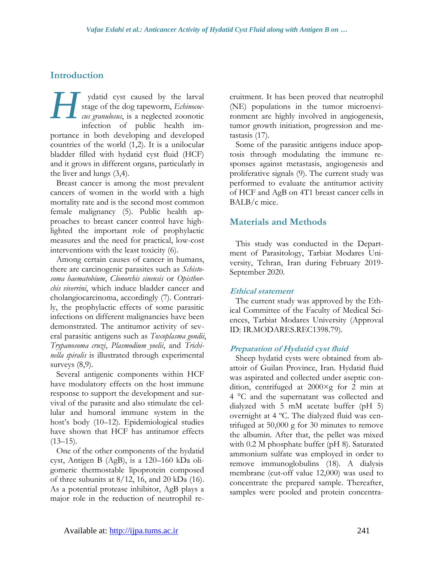# **Introduction**

ydatid cyst caused by the larval stage of the dog tapeworm, *Echinococcus granulosus*, is a neglected zoonotic infection of public health importance in both developing and developed countries of the world (1,2). It is a unilocular bladder filled with hydatid cyst fluid (HCF) and it grows in different organs, particularly in the liver and lungs (3,4). *H*

Breast cancer is among the most prevalent cancers of women in the world with a high mortality rate and is the second most common female malignancy (5). Public health approaches to breast cancer control have highlighted the important role of prophylactic measures and the need for practical, low-cost interventions with the least toxicity (6).

Among certain causes of cancer in humans, there are carcinogenic parasites such as *Schistosoma haematobium*, *Clonorchis sinensis* or *Opisthorchis viverrini*, which induce bladder cancer and cholangiocarcinoma, accordingly (7). Contrarily, the prophylactic effects of some parasitic infections on different malignancies have been demonstrated. The antitumor activity of several parasitic antigens such as *Toxoplasma gondii*, *Trypanosoma cruzi*, *Plasmodium yoelii*, and *Trichinella spiralis* is illustrated through experimental surveys  $(8,9)$ .

Several antigenic components within HCF have modulatory effects on the host immune response to support the development and survival of the parasite and also stimulate the cellular and humoral immune system in the host's body (10–12). Epidemiological studies have shown that HCF has antitumor effects  $(13-15)$ .

One of the other components of the hydatid cyst, Antigen B (AgB), is a 120–160 kDa oligomeric thermostable lipoprotein composed of three subunits at  $8/12$ , 16, and 20 kDa (16). As a potential protease inhibitor, AgB plays a major role in the reduction of neutrophil recruitment. It has been proved that neutrophil (NE) populations in the tumor microenvironment are highly involved in angiogenesis, tumor growth initiation, progression and metastasis (17).

Some of the parasitic antigens induce apoptosis through modulating the immune responses against metastasis, angiogenesis and proliferative signals (9). The current study was performed to evaluate the antitumor activity of HCF and AgB on 4T1 breast cancer cells in BALB/c mice.

### **Materials and Methods**

This study was conducted in the Department of Parasitology, Tarbiat Modares University, Tehran, Iran during February 2019- September 2020.

### **Ethical statement**

The current study was approved by the Ethical Committee of the Faculty of Medical Sciences, Tarbiat Modares University (Approval ID: IR.MODARES.REC1398.79).

### **Preparation of Hydatid cyst fluid**

Sheep hydatid cysts were obtained from abattoir of Guilan Province, Iran. Hydatid fluid was aspirated and collected under aseptic condition, centrifuged at 2000×g for 2 min at 4 °C and the supernatant was collected and dialyzed with 5 mM acetate buffer (pH 5) overnight at 4 ºC. The dialyzed fluid was centrifuged at 50,000 g for 30 minutes to remove the albumin. After that, the pellet was mixed with 0.2 M phosphate buffer (pH 8). Saturated ammonium sulfate was employed in order to remove immunoglobulins (18). A dialysis membrane (cut-off value 12,000) was used to concentrate the prepared sample. Thereafter, samples were pooled and protein concentra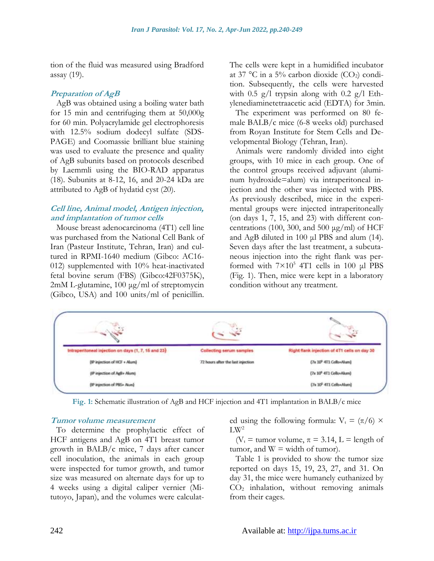tion of the fluid was measured using Bradford assay (19).

#### **Preparation of AgB**

AgB was obtained using a boiling water bath for 15 min and centrifuging them at 50,000g for 60 min. Polyacrylamide gel electrophoresis with 12.5% sodium dodecyl sulfate (SDS-PAGE) and Coomassie brilliant blue staining was used to evaluate the presence and quality of AgB subunits based on protocols described by Laemmli using the BIO-RAD apparatus (18). Subunits at 8-12, 16, and 20-24 kDa are attributed to AgB of hydatid cyst (20).

#### **Cell line, Animal model, Antigen injection, and implantation of tumor cells**

Mouse breast adenocarcinoma (4T1) cell line was purchased from the National Cell Bank of Iran (Pasteur Institute, Tehran, Iran) and cultured in RPMI-1640 medium (Gibco: AC16- 012) supplemented with 10% heat-inactivated fetal bovine serum (FBS) (Gibco:42F0375K), 2mM L-glutamine, 100 μg/ml of streptomycin (Gibco, USA) and 100 units/ml of penicillin. The cells were kept in a humidified incubator at 37 °C in a 5% carbon dioxide  $(CO_2)$  condition. Subsequently, the cells were harvested with  $0.5$  g/l trypsin along with  $0.2$  g/l Ethylenediaminetetraacetic acid (EDTA) for 3min.

The experiment was performed on 80 female BALB/c mice (6-8 weeks old) purchased from Royan Institute for Stem Cells and Developmental Biology (Tehran, Iran).

Animals were randomly divided into eight groups, with 10 mice in each group. One of the control groups received adjuvant (aluminum hydroxide=alum) via intraperitoneal injection and the other was injected with PBS. As previously described, mice in the experimental groups were injected intraperitoneally (on days 1, 7, 15, and 23) with different concentrations (100, 300, and 500  $\mu$ g/ml) of HCF and AgB diluted in 100 μl PBS and alum (14). Seven days after the last treatment, a subcutaneous injection into the right flank was performed with  $7 \times 10^5$  4T1 cells in 100 µl PBS (Fig. 1). Then, mice were kept in a laboratory condition without any treatment.

| Intraperitoneal injection on days (1, 7, 16 and 23) | Collecting serum samples                                                   | Right flank injection of 4T1 cells on day 30 |
|-----------------------------------------------------|----------------------------------------------------------------------------|----------------------------------------------|
| (IF injection of HCF + Alum)                        | (7x 10 <sup>p</sup> 4T1 Cells+Alurs)<br>72 hours after the last injection. |                                              |
| (IP injection of AgB+ Alum)                         |                                                                            | [7x 10 <sup>6</sup> 4T1 Cells+Akan]          |
| (IP injection of PBS+ Alum)                         |                                                                            | (7x 10 <sup>b</sup> 4T1 Cells+Alum)          |

**Fig. 1:** Schematic illustration of AgB and HCF injection and 4T1 implantation in BALB/c mice

#### **Tumor volume measurement**

To determine the prophylactic effect of HCF antigens and AgB on 4T1 breast tumor growth in BALB/c mice, 7 days after cancer cell inoculation, the animals in each group were inspected for tumor growth, and tumor size was measured on alternate days for up to 4 weeks using a digital caliper vernier (Mitutoyo, Japan), and the volumes were calculat-

ed using the following formula:  $V_t = (\pi/6) \times$  $LW^2$ 

( $V_t$  = tumor volume,  $\pi$  = 3.14, L = length of tumor, and  $W = \text{width of tumor}$ .

Table 1 is provided to show the tumor size reported on days 15, 19, 23, 27, and 31. On day 31, the mice were humanely euthanized by CO<sup>2</sup> inhalation, without removing animals from their cages.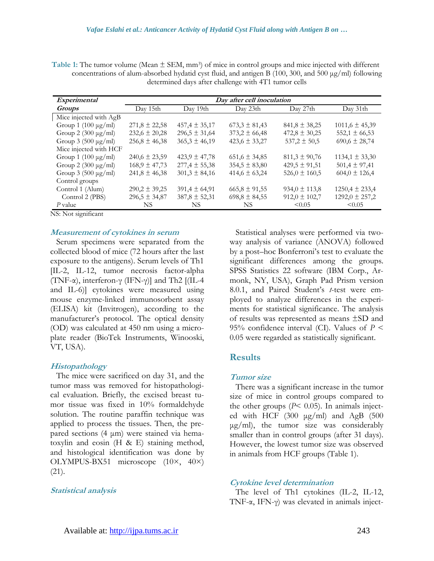Table 1: The tumor volume (Mean  $\pm$  SEM, mm<sup>3</sup>) of mice in control groups and mice injected with different concentrations of alum-absorbed hydatid cyst fluid, and antigen B (100, 300, and 500 μg/ml) following determined days after challenge with 4T1 tumor cells

| Experimental             | Day after cell inoculation |                   |                   |                   |                    |  |  |
|--------------------------|----------------------------|-------------------|-------------------|-------------------|--------------------|--|--|
| <b>Groups</b>            | Day 15th                   | Day 19th          | Day 23th          | Day 27th          | Day 31th           |  |  |
| Mice injected with AgB   |                            |                   |                   |                   |                    |  |  |
| Group 1 $(100 \mu g/ml)$ | $271,8 \pm 22,58$          | $457,4 \pm 35,17$ | $673,3 \pm 81,43$ | $841,8 \pm 38,25$ | $1011,6 \pm 45,39$ |  |  |
| Group 2 $(300 \mu g/ml)$ | $232,6 \pm 20,28$          | $296,5 \pm 31,64$ | $373,2 \pm 66,48$ | $472,8 \pm 30,25$ | $552,1 \pm 66,53$  |  |  |
| Group $3(500 \mu g/ml)$  | $256,8 \pm 46,38$          | $365,3 \pm 46,19$ | $423,6 \pm 33,27$ | $537,2 \pm 50,5$  | $690,6 \pm 28,74$  |  |  |
| Mice injected with HCF   |                            |                   |                   |                   |                    |  |  |
| Group 1 $(100 \mu g/ml)$ | $240,6 \pm 23,59$          | $423,9 \pm 47,78$ | $651.6 \pm 34.85$ | $811,3 \pm 90,76$ | $1134,1 \pm 33,30$ |  |  |
| Group 2 $(300 \mu g/ml)$ | $168,9 \pm 47,73$          | $277,4 \pm 55,38$ | $354,5 \pm 83,80$ | $429,5 \pm 91,51$ | $501.4 \pm 97.41$  |  |  |
| Group $3(500 \mu g/ml)$  | $241,8 \pm 46,38$          | $301,3 \pm 84,16$ | $414,6 \pm 63,24$ | $526,0 \pm 160,5$ | $604.0 \pm 126.4$  |  |  |
| Control groups           |                            |                   |                   |                   |                    |  |  |
| Control 1 (Alum)         | $290,2 \pm 39,25$          | $391,4 \pm 64,91$ | $665,8 \pm 91,55$ | $934,0 \pm 113,8$ | $1250.4 \pm 233.4$ |  |  |
| Control 2 (PBS)          | $296,5 \pm 34,87$          | $387,8 \pm 52,31$ | $698,8 \pm 84,55$ | $912,0 \pm 102,7$ | $1292,0 \pm 257,2$ |  |  |
| $P$ value                | NS.                        | NS.               | NS.               | < 0.05            | < 0.05             |  |  |

NS: Not significant

#### **Measurement of cytokines in serum**

Serum specimens were separated from the collected blood of mice (72 hours after the last exposure to the antigens). Serum levels of Th1 [IL-2, IL-12, tumor necrosis factor-alpha (TNF-α), interferon-γ (IFN-γ)] and Th2 [(IL-4 and IL-6)] cytokines were measured using mouse enzyme-linked immunosorbent assay (ELISA) kit (Invitrogen), according to the manufacturer's protocol. The optical density (OD) was calculated at 450 nm using a microplate reader (BioTek Instruments, Winooski, VT, USA).

#### **Histopathology**

The mice were sacrificed on day 31, and the tumor mass was removed for histopathological evaluation. Briefly, the excised breast tumor tissue was fixed in 10% formaldehyde solution. The routine paraffin technique was applied to process the tissues. Then, the prepared sections (4 μm) were stained via hematoxylin and eosin (H & E) staining method, and histological identification was done by OLYMPUS-BX51 microscope (10×, 40×) (21).

#### **Statistical analysis**

Statistical analyses were performed via twoway analysis of variance (ANOVA) followed by a post–hoc Bonferroni's test to evaluate the significant differences among the groups. SPSS Statistics 22 software (IBM Corp., Armonk, NY, USA), Graph Pad Prism version 8.0.1, and Paired Student's *t*-test were employed to analyze differences in the experiments for statistical significance. The analysis of results was represented as means ±SD and 95% confidence interval (CI). Values of *P* < 0.05 were regarded as statistically significant.

#### **Results**

#### **Tumor size**

There was a significant increase in the tumor size of mice in control groups compared to the other groups  $(P< 0.05)$ . In animals injected with HCF (300 μg/ml) and AgB (500  $\mu$ g/ml), the tumor size was considerably smaller than in control groups (after 31 days). However, the lowest tumor size was observed in animals from HCF groups (Table 1).

#### **Cytokine level determination**

The level of Th1 cytokines (IL-2, IL-12, TNF-α, IFN-γ) was elevated in animals inject-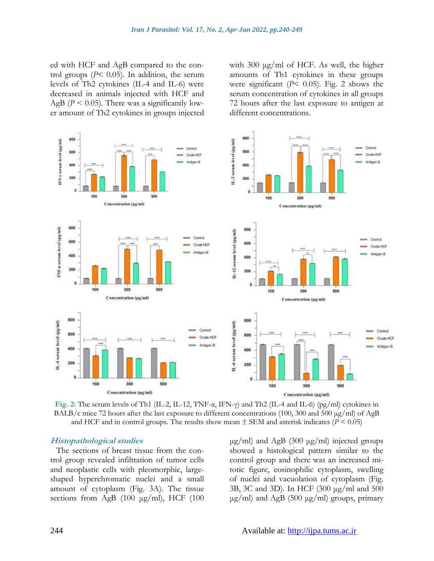ed with HCF and AgB compared to the control groups  $(P< 0.05)$ . In addition, the serum levels of Th2 cytokines (IL-4 and IL-6) were decreased in animals injected with HCF and AgB ( $P \le 0.05$ ). There was a significantly lower amount of Th2 cytokines in groups injected with 300 μg/ml of HCF. As well, the higher amounts of Th1 cytokines in these groups were significant  $(P< 0.05)$ . Fig. 2 shows the serum concentration of cytokines in all groups 72 hours after the last exposure to antigen at different concentrations.



**Fig. 2:** The serum levels of Th1 (IL-2, IL-12, TNF-α, IFN-γ) and Th2 (IL-4 and IL-6) (pg/ml) cytokines in BALB/c mice 72 hours after the last exposure to different concentrations (100, 300 and 500 μg/ml) of AgB and HCF and in control groups. The results show mean  $\pm$  SEM and asterisk indicates ( $P \le 0.05$ )

#### **Histopathological studies**

The sections of breast tissue from the control group revealed infiltration of tumor cells and neoplastic cells with pleomorphic, largeshaped hyperchromatic nuclei and a small amount of cytoplasm (Fig. 3A). The tissue sections from AgB (100 μg/ml), HCF (100 μg/ml) and AgB (300 μg/ml) injected groups showed a histological pattern similar to the control group and there was an increased mitotic figure, eosinophilic cytoplasm, swelling of nuclei and vacuolation of cytoplasm (Fig. 3B, 3C and 3D). In HCF (300 μg/ml and 500  $\mu$ g/ml) and AgB (500  $\mu$ g/ml) groups, primary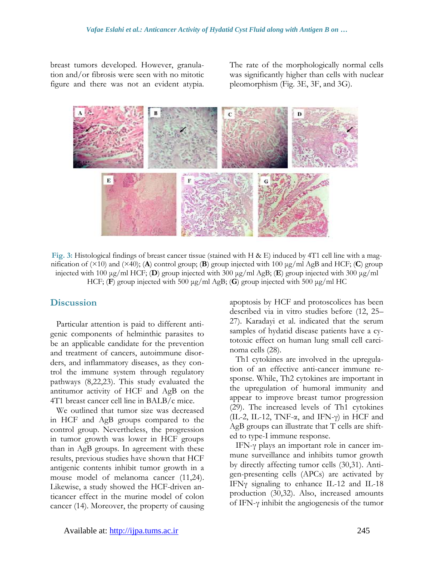breast tumors developed. However, granulation and/or fibrosis were seen with no mitotic figure and there was not an evident atypia. The rate of the morphologically normal cells was significantly higher than cells with nuclear pleomorphism (Fig. 3E, 3F, and 3G).



**Fig. 3:** Histological findings of breast cancer tissue (stained with H & E) induced by 4T1 cell line with a magnification of (×10) and (×40); (**A**) control group; (**B**) group injected with 100 μg/ml AgB and HCF; (**C**) group injected with 100 μg/ml HCF; (**D**) group injected with 300 μg/ml AgB; (**E**) group injected with 300 μg/ml HCF; (**F**) group injected with 500 μg/ml AgB; (**G**) group injected with 500 μg/ml HC

#### **Discussion**

Particular attention is paid to different antigenic components of helminthic parasites to be an applicable candidate for the prevention and treatment of cancers, autoimmune disorders, and inflammatory diseases, as they control the immune system through regulatory pathways (8,22,23). This study evaluated the antitumor activity of HCF and AgB on the 4T1 breast cancer cell line in BALB/c mice.

We outlined that tumor size was decreased in HCF and AgB groups compared to the control group. Nevertheless, the progression in tumor growth was lower in HCF groups than in AgB groups. In agreement with these results, previous studies have shown that HCF antigenic contents inhibit tumor growth in a mouse model of melanoma cancer (11,24). Likewise, a study showed the HCF-driven anticancer effect in the murine model of colon cancer (14). Moreover, the property of causing apoptosis by HCF and protoscolices has been described via in vitro studies before (12, 25– 27). Karadayi et al. indicated that the serum samples of hydatid disease patients have a cytotoxic effect on human lung small cell carcinoma cells (28).

Th1 cytokines are involved in the upregulation of an effective anti-cancer immune response. While, Th2 cytokines are important in the upregulation of humoral immunity and appear to improve breast tumor progression (29). The increased levels of Th1 cytokines (IL-2, IL-12, TNF-α, and IFN-γ) in HCF and AgB groups can illustrate that T cells are shifted to type-I immune response.

IFN-γ plays an important role in cancer immune surveillance and inhibits tumor growth by directly affecting tumor cells (30,31). Antigen-presenting cells (APCs) are activated by IFNγ signaling to enhance IL-12 and IL-18 production (30,32). Also, increased amounts of IFN-γ inhibit the angiogenesis of the tumor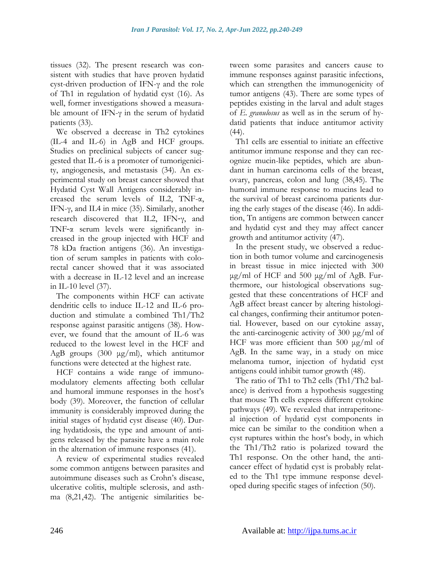tissues (32). The present research was consistent with studies that have proven hydatid cyst-driven production of IFN-γ and the role of Th1 in regulation of hydatid cyst (16). As well, former investigations showed a measurable amount of IFN- $\gamma$  in the serum of hydatid patients (33).

We observed a decrease in Th2 cytokines (IL-4 and IL-6) in AgB and HCF groups. Studies on preclinical subjects of cancer suggested that IL-6 is a promoter of tumorigenicity, angiogenesis, and metastasis (34). An experimental study on breast cancer showed that Hydatid Cyst Wall Antigens considerably increased the serum levels of IL2, TNF-α, IFN-γ, and IL4 in mice (35). Similarly, another research discovered that IL2, IFN‑γ, and TNF‑α serum levels were significantly increased in the group injected with HCF and 78 kDa fraction antigens (36). An investigation of serum samples in patients with colorectal cancer showed that it was associated with a decrease in IL-12 level and an increase in IL-10 level (37).

The components within HCF can activate dendritic cells to induce IL-12 and IL-6 production and stimulate a combined Th1/Th2 response against parasitic antigens (38). However, we found that the amount of IL-6 was reduced to the lowest level in the HCF and AgB groups (300 μg/ml), which antitumor functions were detected at the highest rate.

HCF contains a wide range of immunomodulatory elements affecting both cellular and humoral immune responses in the host's body (39). Moreover, the function of cellular immunity is considerably improved during the initial stages of hydatid cyst disease (40). During hydatidosis, the type and amount of antigens released by the parasite have a main role in the alternation of immune responses (41).

A review of experimental studies revealed some common antigens between parasites and autoimmune diseases such as Crohn's disease, ulcerative colitis, multiple sclerosis, and asthma (8,21,42). The antigenic similarities between some parasites and cancers cause to immune responses against parasitic infections, which can strengthen the immunogenicity of tumor antigens (43). There are some types of peptides existing in the larval and adult stages of *E. granulosus* as well as in the serum of hydatid patients that induce antitumor activity  $(44)$ .

Th1 cells are essential to initiate an effective antitumor immune response and they can recognize mucin-like peptides, which are abundant in human carcinoma cells of the breast, ovary, pancreas, colon and lung (38,45). The humoral immune response to mucins lead to the survival of breast carcinoma patients during the early stages of the disease (46). In addition, Tn antigens are common between cancer and hydatid cyst and they may affect cancer growth and antitumor activity (47).

In the present study, we observed a reduction in both tumor volume and carcinogenesis in breast tissue in mice injected with 300 μg/ml of HCF and 500 μg/ml of AgB. Furthermore, our histological observations suggested that these concentrations of HCF and AgB affect breast cancer by altering histological changes, confirming their antitumor potential. However, based on our cytokine assay, the anti-carcinogenic activity of 300 μg/ml of HCF was more efficient than 500 μg/ml of AgB. In the same way, in a study on mice melanoma tumor, injection of hydatid cyst antigens could inhibit tumor growth (48).

The ratio of Th1 to Th2 cells (Th1/Th2 balance) is derived from a hypothesis suggesting that mouse Th cells express different cytokine pathways (49). We revealed that intraperitoneal injection of hydatid cyst components in mice can be similar to the condition when a cyst ruptures within the host's body, in which the Th1/Th2 ratio is polarized toward the Th1 response. On the other hand, the anticancer effect of hydatid cyst is probably related to the Th1 type immune response developed during specific stages of infection (50).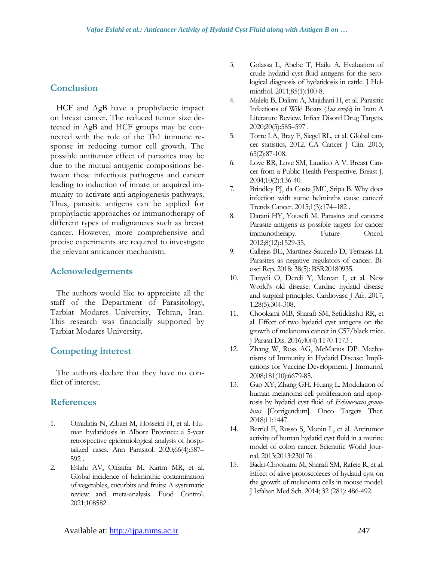# **Conclusion**

HCF and AgB have a prophylactic impact on breast cancer. The reduced tumor size detected in AgB and HCF groups may be connected with the role of the Th1 immune response in reducing tumor cell growth. The possible antitumor effect of parasites may be due to the mutual antigenic compositions between these infectious pathogens and cancer leading to induction of innate or acquired immunity to activate anti-angiogenesis pathways. Thus, parasitic antigens can be applied for prophylactic approaches or immunotherapy of different types of malignancies such as breast cancer. However, more comprehensive and precise experiments are required to investigate the relevant anticancer mechanism.

# **Acknowledgements**

The authors would like to appreciate all the staff of the Department of Parasitology, Tarbiat Modares University, Tehran, Iran. This research was financially supported by Tarbiat Modares University.

# **Competing interest**

The authors declare that they have no conflict of interest.

### **References**

- 1. Omidinia N, Zibaei M, Hosseini H, et al. Human hydatidosis in Alborz Province: a 5-year retrospective epidemiological analysis of hospitalized cases. Ann Parasitol. 2020;66(4):587– 592 .
- 2. Eslahi AV, Olfatifar M, Karim MR, et al. Global incidence of helminthic contamination of vegetables, cucurbits and fruits: A systematic review and meta-analysis. Food Control. 2021;108582 .
- 3. Golassa L, Abebe T, Hailu A. Evaluation of crude hydatid cyst fluid antigens for the serological diagnosis of hydatidosis in cattle. J Helminthol. 2011;85(1):100-8.
- 4. Maleki B, Dalimi A, Majidiani H, et al. Parasitic Infections of Wild Boars (*Sus scrofa*) in Iran: A Literature Review. Infect Disord Drug Targets. 2020;20(5):585–597 .
- 5. Torre LA, Bray F, Siegel RL, et al. Global cancer statistics, 2012. CA Cancer J Clin. 2015; 65(2):87-108.
- 6. Love RR, Love SM, Laudico A V. Breast Cancer from a Public Health Perspective. Breast J. 2004;10(2):136-40.
- 7. Brindley PJ, da Costa JMC, Sripa B. Why does infection with some helminths cause cancer? Trends Cancer. 2015;1(3):174–182 .
- 8. Darani HY, Yousefi M. Parasites and cancers: Parasite antigens as possible targets for cancer immunotherapy. Future Oncol. 2012;8(12):1529-35.
- 9. Callejas BE, Martínez-Saucedo D, Terrazas LI. Parasites as negative regulators of cancer. Biosci Rep. 2018; 38(5): BSR20180935.
- 10. Tanyeli O, Dereli Y, Mercan I, et al. New World's old disease: Cardiac hydatid disease and surgical principles. Cardiovasc J Afr. 2017; 1;28(5):304-308.
- 11. Chookami MB, Sharafi SM, Sefiddashti RR, et al. Effect of two hydatid cyst antigens on the growth of melanoma cancer in C57/black mice. J Parasit Dis. 2016;40(4):1170-1173 .
- 12. Zhang W, Ross AG, McManus DP. Mechanisms of Immunity in Hydatid Disease: Implications for Vaccine Development. J Immunol. 2008;181(10):6679-85.
- 13. Gao XY, Zhang GH, Huang L. Modulation of human melanoma cell proliferation and apoptosis by hydatid cyst fluid of *Echinococcus granulosus* [Corrigendum]. Onco Targets Ther. 2018;11:1447.
- 14. Berriel E, Russo S, Monin L, et al. Antitumor activity of human hydatid cyst fluid in a murine model of colon cancer. Scientific World Journal. 2013;2013:230176 .
- 15. Badri-Chookami M, Sharafi SM, Rafeie R, et al. Effect of alive protoscoleces of hydatid cyst on the growth of melanoma cells in mouse model. J Isfahan Med Sch. 2014; 32 (281): 486-492.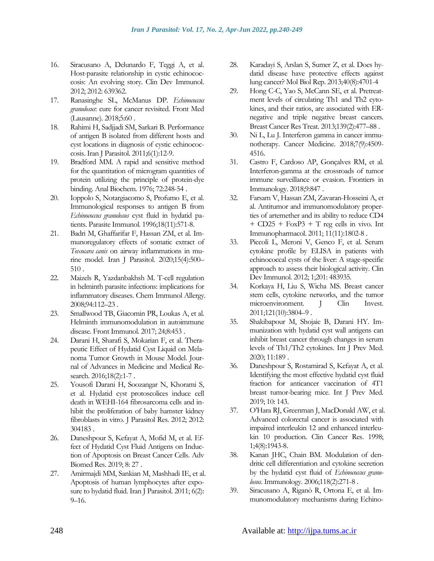- 16. Siracusano A, Delunardo F, Teggi A, et al. Host-parasite relationship in cystic echinococcosis: An evolving story. Clin Dev Immunol. 2012; 2012: 639362.
- 17. Ranasinghe SL, McManus DP. *Echinococcus granulosus*: cure for cancer revisited. Front Med (Lausanne). 2018;5:60 .
- 18. Rahimi H, Sadjjadi SM, Sarkari B. Performance of antigen B isolated from different hosts and cyst locations in diagnosis of cystic echinococcosis. Iran J Parasitol. 2011;6(1):12-9.
- 19. Bradford MM. A rapid and sensitive method for the quantitation of microgram quantities of protein utilizing the principle of protein-dye binding. Anal Biochem. 1976; 72:248-54 .
- 20. Ioppolo S, Notargiacomo S, Profumo E, et al. Immunological responses to antigen B from *Echinococcus granulosus* cyst fluid in hydatid patients. Parasite Immunol. 1996;18(11):571-8.
- 21. Badri M, Ghaffarifar F, Hassan ZM, et al. Immunoregulatory effects of somatic extract of *Toxocara canis* on airway inflammations in murine model. Iran J Parasitol. 2020;15(4):500– 510 .
- 22. Maizels R, Yazdanbakhsh M. T-cell regulation in helminth parasite infections: implications for inflammatory diseases. Chem Immunol Allergy. 2008;94:112–23 .
- 23. Smallwood TB, Giacomin PR, Loukas A, et al. Helminth immunomodulation in autoimmune disease. Front Immunol. 2017; 24;8:453 .
- 24. Darani H, Sharafi S, Mokarian F, et al. Therapeutic Effect of Hydatid Cyst Liquid on Melanoma Tumor Growth in Mouse Model. Journal of Advances in Medicine and Medical Research. 2016;18(2):1-7 .
- 25. Yousofi Darani H, Soozangar N, Khorami S, et al. Hydatid cyst protoscolices induce cell death in WEHI-164 fibrosarcoma cells and inhibit the proliferation of baby hamster kidney fibroblasts in vitro. J Parasitol Res. 2012; 2012: 304183 .
- 26. Daneshpour S, Kefayat A, Mofid M, et al. Effect of Hydatid Cyst Fluid Antigens on Induction of Apoptosis on Breast Cancer Cells. Adv Biomed Res. 2019; 8: 27 .
- 27. Amirmajdi MM, Sankian M, Mashhadi IE, et al. Apoptosis of human lymphocytes after exposure to hydatid fluid. Iran J Parasitol. 2011; 6(2): 9–16.
- 28. Karadayi S, Arslan S, Sumer Z, et al. Does hydatid disease have protective effects against lung cancer? Mol Biol Rep. 2013;40(8):4701-4
- 29. Hong C-C, Yao S, McCann SE, et al. Pretreatment levels of circulating Th1 and Th2 cytokines, and their ratios, are associated with ERnegative and triple negative breast cancers. Breast Cancer Res Treat. 2013;139(2):477–88 .
- 30. Ni L, Lu J. Interferon gamma in cancer immunotherapy. Cancer Medicine. 2018;7(9):4509- 4516.
- 31. Castro F, Cardoso AP, Gonçalves RM, et al. Interferon-gamma at the crossroads of tumor immune surveillance or evasion. Frontiers in Immunology. 2018;9:847 .
- 32. Farsam V, Hassan ZM, Zavaran-Hosseini A, et al. Antitumor and immunomodulatory properties of artemether and its ability to reduce CD4  $+$  CD25 + FoxP3 + T reg cells in vivo. Int Immunopharmacol. 2011; 11(11):1802-8 .
- 33. Piccoli L, Meroni V, Genco F, et al. Serum cytokine profile by ELISA in patients with echinococcal cysts of the liver: A stage-specific approach to assess their biological activity. Clin Dev Immunol. 2012; 1;201: 483935.
- 34. Korkaya H, Liu S, Wicha MS. Breast cancer stem cells, cytokine networks, and the tumor microenvironment. J Clin Invest. 2011;121(10):3804–9 .
- 35. Shakibapour M, Shojaie B, Darani HY. Immunization with hydatid cyst wall antigens can inhibit breast cancer through changes in serum levels of Th1/Th2 cytokines. Int J Prev Med. 2020; 11:189 .
- 36. Daneshpour S, Rostamirad S, Kefayat A, et al. Identifying the most effective hydatid cyst fluid fraction for anticancer vaccination of 4T1 breast tumor-bearing mice. Int J Prev Med. 2019; 10: 143.
- 37. O'Hara RJ, Greenman J, MacDonald AW, et al. Advanced colorectal cancer is associated with impaired interleukin 12 and enhanced interleukin 10 production. Clin Cancer Res. 1998; 1;4(8):1943-8.
- 38. Kanan JHC, Chain BM. Modulation of dendritic cell differentiation and cytokine secretion by the hydatid cyst fluid of *Echinococcus granulosus*. Immunology. 2006;118(2):271-8 .
- 39. Siracusano A, Riganò R, Ortona E, et al. Immunomodulatory mechanisms during Echino-